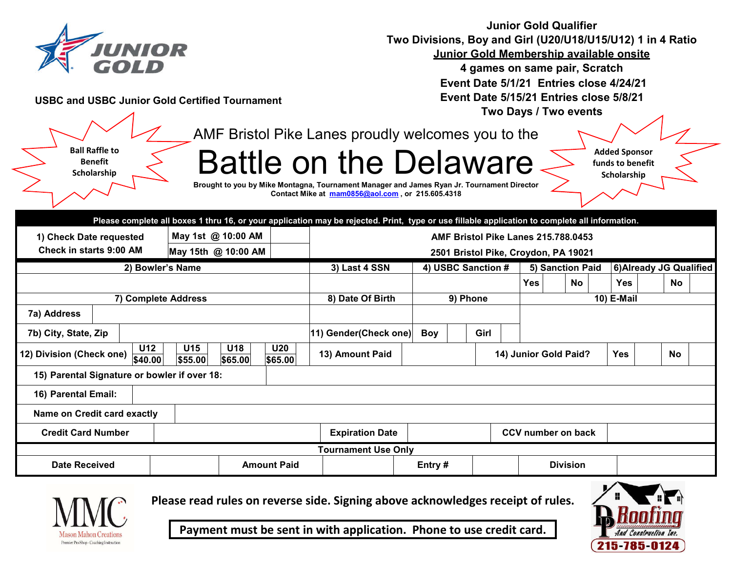

**Junior Gold Qualifier Two Divisions, Boy and Girl (U20/U18/U15/U12) 1 in 4 Ratio Junior Gold Membership available onsite** 

**4 games on same pair, Scratch Event Date 5/1/21 Entries close 4/24/21 Event Date 5/15/21 Entries close 5/8/21 Two Days / Two events**

**USBC and USBC Junior Gold Certified Tournament**

AMF Bristol Pike Lanes proudly welcomes you to the

**Ball Raffle to Benefit Scholarship**

Battle on the Delaware

**Added Sponsor funds to benefit Scholarship**

**Brought to you by Mike Montagna, Tournament Manager and James Ryan Jr. Tournament Director Contact Mike at mam0856@aol.com , or 215.605.4318**

|                                                           |                            |                     |                    |                       | Please complete all boxes 1 thru 16, or your application may be rejected. Print, type or use fillable application to complete all information. |          |                    |  |      |                    |                       |    |  |                         |  |           |  |  |
|-----------------------------------------------------------|----------------------------|---------------------|--------------------|-----------------------|------------------------------------------------------------------------------------------------------------------------------------------------|----------|--------------------|--|------|--------------------|-----------------------|----|--|-------------------------|--|-----------|--|--|
| 1) Check Date requested<br><b>Check in starts 9:00 AM</b> |                            | May 1st @ 10:00 AM  |                    |                       | AMF Bristol Pike Lanes 215.788.0453                                                                                                            |          |                    |  |      |                    |                       |    |  |                         |  |           |  |  |
|                                                           |                            | May 15th @ 10:00 AM |                    |                       | 2501 Bristol Pike, Croydon, PA 19021                                                                                                           |          |                    |  |      |                    |                       |    |  |                         |  |           |  |  |
| 2) Bowler's Name                                          |                            |                     |                    |                       | 3) Last 4 SSN                                                                                                                                  |          | 4) USBC Sanction # |  |      |                    | 5) Sanction Paid      |    |  | 6) Already JG Qualified |  |           |  |  |
|                                                           |                            |                     |                    |                       |                                                                                                                                                |          |                    |  |      |                    | <b>Yes</b>            | No |  | <b>Yes</b>              |  | No        |  |  |
| 7) Complete Address                                       |                            |                     |                    | 8) Date Of Birth      |                                                                                                                                                | 9) Phone |                    |  |      | 10) E-Mail         |                       |    |  |                         |  |           |  |  |
| 7a) Address                                               |                            |                     |                    |                       |                                                                                                                                                |          |                    |  |      |                    |                       |    |  |                         |  |           |  |  |
| 7b) City, State, Zip                                      |                            |                     |                    |                       | 11) Gender(Check one)                                                                                                                          |          | <b>Boy</b>         |  | Girl |                    |                       |    |  |                         |  |           |  |  |
| 12) Division (Check one)                                  | <b>U12</b><br>\$40.00      | U15<br>\$55.00      | U18<br>\$65.00     | <b>U20</b><br>\$65.00 | 13) Amount Paid                                                                                                                                |          |                    |  |      |                    | 14) Junior Gold Paid? |    |  | <b>Yes</b>              |  | <b>No</b> |  |  |
| 15) Parental Signature or bowler if over 18:              |                            |                     |                    |                       |                                                                                                                                                |          |                    |  |      |                    |                       |    |  |                         |  |           |  |  |
| 16) Parental Email:                                       |                            |                     |                    |                       |                                                                                                                                                |          |                    |  |      |                    |                       |    |  |                         |  |           |  |  |
| Name on Credit card exactly                               |                            |                     |                    |                       |                                                                                                                                                |          |                    |  |      |                    |                       |    |  |                         |  |           |  |  |
| <b>Credit Card Number</b>                                 |                            |                     |                    |                       | <b>Expiration Date</b>                                                                                                                         |          |                    |  |      | CCV number on back |                       |    |  |                         |  |           |  |  |
|                                                           | <b>Tournament Use Only</b> |                     |                    |                       |                                                                                                                                                |          |                    |  |      |                    |                       |    |  |                         |  |           |  |  |
| <b>Date Received</b>                                      |                            |                     | <b>Amount Paid</b> |                       |                                                                                                                                                |          | Entry#             |  |      |                    | <b>Division</b>       |    |  |                         |  |           |  |  |



**Please read rules on reverse side. Signing above acknowledges receipt of rules.**



**Payment must be sent in with application. Phone to use credit card.**